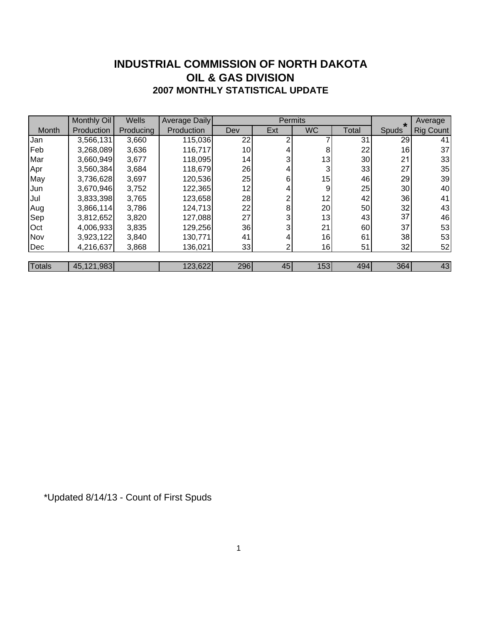### **INDUSTRIAL COMMISSION OF NORTH DAKOTA 2007 MONTHLY STATISTICAL UPDATE OIL & GAS DIVISION**

|               | Monthly Oil | <b>Wells</b> | <b>Average Daily</b> |     | Permits |           |       | $\star$ | Average   |
|---------------|-------------|--------------|----------------------|-----|---------|-----------|-------|---------|-----------|
| Month         | Production  | Producing    | Production           | Dev | Ext     | <b>WC</b> | Total | Spuds   | Rig Count |
| Jan           | 3,566,131   | 3,660        | 115,036              | 22  | ⌒       |           | 31    | 29      | 41        |
| Feb           | 3,268,089   | 3,636        | 116,717              | 10  |         | 8         | 22    | 16      | 37        |
| Mar           | 3,660,949   | 3,677        | 118,095              | 14  | 3       | 13        | 30    | 21      | 33        |
| Apr           | 3,560,384   | 3,684        | 118,679              | 26  | 4       | 3         | 33    | 27      | 35        |
| May           | 3,736,628   | 3,697        | 120,536              | 25  | 6       | 15        | 46    | 29      | 39        |
| Jun           | 3,670,946   | 3,752        | 122,365              | 12  | 4       | 9         | 25    | 30      | 40        |
| Jul           | 3,833,398   | 3,765        | 123,658              | 28  | 2       | 12        | 42    | 36      | 41        |
| Aug           | 3,866,114   | 3,786        | 124,713              | 22  | 8       | 20        | 50    | 32      | 43        |
| Sep           | 3,812,652   | 3,820        | 127,088              | 27  | 3       | 13        | 43    | 37      | 46        |
| Oct           | 4,006,933   | 3,835        | 129,256              | 36  | 3       | 21        | 60    | 37      | 53        |
| Nov           | 3,923,122   | 3,840        | 130,771              | 41  | 4.      | 16        | 61    | 38      | 53        |
| Dec           | 4,216,637   | 3,868        | 136,021              | 33  | 2       | 16        | 51    | 32      | 52        |
|               |             |              |                      |     |         |           |       |         |           |
| <b>Totals</b> | 45,121,983  |              | 123,622              | 296 | 45      | 153       | 494   | 364     | 43        |

\*Updated 8/14/13 - Count of First Spuds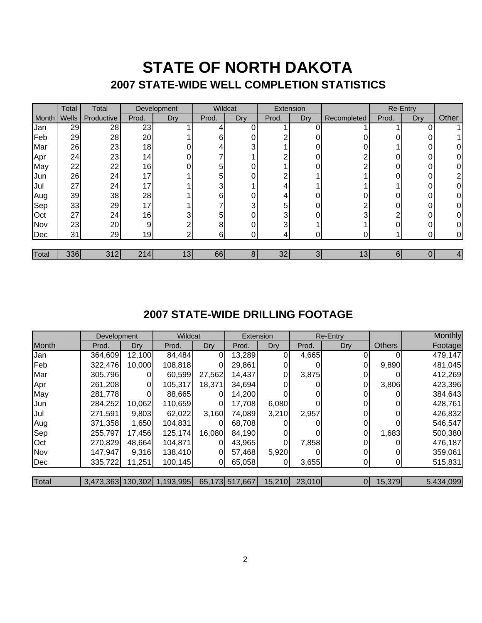## **STATE OF NORTH DAKOTA 2007 STATE-WIDE WELL COMPLETION STATISTICS**

|       | Total | Total      | Development |     | Wildcat |     | Extension |            |                 | Re-Entry |     |       |
|-------|-------|------------|-------------|-----|---------|-----|-----------|------------|-----------------|----------|-----|-------|
| Month | Wells | Productive | Prod.       | Dry | Prod.   | Dry | Prod.     | <b>Dry</b> | Recompleted     | Prod.    | Dry | Other |
| Jan   | 29    | 28         | 23          |     |         |     |           |            |                 |          |     |       |
| Feb   | 29    | 28         | 20          |     | 6       |     |           |            |                 |          |     |       |
| Mar   | 26    | 23         | 18          |     |         | 3   |           |            |                 |          |     |       |
| Apr   | 24    | 23         | 14          |     |         |     | ົ         |            | ⌒               |          |     |       |
| May   | 22    | 22         | 16          |     | 5       | ∩   |           |            | ⌒               |          |     |       |
| Jun   | 26    | 24         | 17          |     | 5       |     | ົ         |            |                 |          |     | ⌒     |
| Jul   | 27    | 24         | 17          |     |         |     | 4         |            |                 |          |     | 0     |
| Aug   | 39    | 38         | 28          |     | 6       | ∩   | 4         |            |                 |          |     |       |
| Sep   | 33    | 29         | 17          |     |         | 3   | 5         |            | ⌒               |          |     |       |
| Oct   | 27    | 24         | 16          |     | 5       | 0   | 3         |            | 3               | ົ        |     |       |
| Nov   | 23    | 20         | 9           |     | 8       | ∩   | 3         |            |                 |          |     |       |
| Dec   | 31    | 29         | 19          |     | 6       |     | 4.        |            |                 |          |     | 0     |
| Total | 336   | 312        | 214         | 13  | 66      | 8   | 32        | 3          | 13 <sub>l</sub> | 6        |     | 4     |

### **2007 STATE-WIDE DRILLING FOOTAGE**

|       | Development |        | <b>Wildcat</b>              |          | Extension      |        | Re-Entry |                |               | Monthly   |
|-------|-------------|--------|-----------------------------|----------|----------------|--------|----------|----------------|---------------|-----------|
| Month | Prod.       | Dry    | Prod.                       | Dry      | Prod.          | Dry    | Prod.    | Dry            | <b>Others</b> | Footage   |
| Jan   | 364,609     | 12,100 | 84,484                      | $\Omega$ | 13,289         |        | 4,665    | 0              |               | 479,147   |
| Feb   | 322,476     | 10,000 | 108,818                     | 0        | 29,861         | 0      |          | 0              | 9,890         | 481,045   |
| Mar   | 305,796     |        | 60,599                      | 27,562   | 14,437         | 0      | 3,875    | 0              |               | 412,269   |
| Apr   | 261,208     | 0      | 105,317                     | 18,371   | 34,694         | 0      |          | $\overline{0}$ | 3,806         | 423,396   |
| May   | 281,778     | 0      | 88,665                      | $\Omega$ | 14,200         |        |          | 0              |               | 384,643   |
| Jun   | 284,252     | 10,062 | 110,659                     | 0        | 17,708         | 6,080  |          |                |               | 428,761   |
| Jul   | 271,591     | 9,803  | 62,022                      | 3,160    | 74,089         | 3,210  | 2,957    | 0              |               | 426,832   |
| Aug   | 371,358     | 1,650  | 104,831                     | 0        | 68,708         |        |          | 0              |               | 546,547   |
| Sep   | 255,797     | 17,456 | 125,174                     | 16,080   | 84,190         |        |          | 0              | 1,683         | 500,380   |
| Oct   | 270,829     | 48,664 | 104,871                     | 0        | 43,965         | 0      | 7,858    | 0              |               | 476,187   |
| Nov   | 147,947     | 9,316  | 138,410                     | $\Omega$ | 57,468         | 5,920  |          | 0              |               | 359,061   |
| Dec   | 335,722     | 11,251 | 100,145                     | ΟI       | 65,058         | 01     | 3,655    | 01             |               | 515,831   |
|       |             |        |                             |          |                |        |          |                |               |           |
| Total |             |        | 3,473,363 130,302 1,193,995 |          | 65,173 517,667 | 15,210 | 23,010   | 01             | 15,379        | 5,434,099 |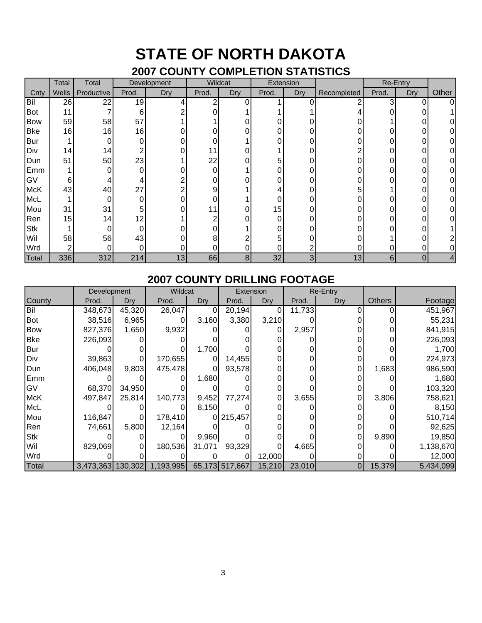# **STATE OF NORTH DAKOTA**

### **2007 COUNTY COMPLETION STATISTICS**

|            | Total | Total           | Development |     | Wildcat  |     | Extension |     |             | Re-Entry |     |       |
|------------|-------|-----------------|-------------|-----|----------|-----|-----------|-----|-------------|----------|-----|-------|
| Cnty       | Wells | Productive      | Prod.       | Dry | Prod.    | Dry | Prod.     | Dry | Recompleted | Prod.    | Dry | Other |
| Bil        | 26    | 22              | 19          |     | ⌒        | 0   |           |     |             | 3        |     |       |
| <b>Bot</b> | 11    |                 | 6           |     |          |     |           |     |             |          |     |       |
| <b>Bow</b> | 59    | 58              | 57          |     |          |     | 0         |     |             |          |     |       |
| <b>Bke</b> | 16    | 16              | 16          |     |          | 0   | 0         |     |             |          |     |       |
| <b>Bur</b> |       |                 | 0           |     |          |     | 0         |     |             |          |     |       |
| Div        | 14    | 14              |             |     | 11       | 0   |           |     |             |          |     |       |
| Dun        | 51    | 50              | 23          |     | 22       | 0   | 5         |     |             |          |     |       |
| Emm        |       |                 | $\Omega$    |     | $\Omega$ |     | 0         |     |             |          |     |       |
| GV         | 6     |                 |             |     |          |     | 0         |     |             |          |     |       |
| <b>McK</b> | 43    | 40              | 27          |     | 9        |     |           |     | 5           |          |     |       |
| McL        |       | 0               | $\Omega$    |     |          |     |           |     |             |          |     |       |
| Mou        | 31    | 31              | 5           |     |          | 0   | 15        |     |             |          |     |       |
| Ren        | 15    | 14 <sub>1</sub> | 12          |     | ⌒        |     | 0         |     |             |          |     |       |
| <b>Stk</b> |       |                 | 0           |     |          |     | 0         |     |             |          |     |       |
| Wil        | 58    | 56              | 43          |     | 8        |     | 5         |     |             |          |     |       |
| Wrd        |       |                 | ი           |     |          | 0   | 0         |     |             |          |     |       |
| Total      | 336   | 312             | 214         | 13  | 66       | 8   | 32        | 3   | 13          | $6 \mid$ |     |       |

### **2007 COUNTY DRILLING FOOTAGE**

|            | Development |        | Wildcat                     |        |                | Extension | <b>Re-Entry</b> |     |               |           |
|------------|-------------|--------|-----------------------------|--------|----------------|-----------|-----------------|-----|---------------|-----------|
| County     | Prod.       | Dry    | Prod.                       | Dry    | Prod.          | Dry       | Prod.           | Dry | <b>Others</b> | Footage   |
| Bil        | 348,673     | 45,320 | 26,047                      |        | 20,194         |           | 11,733          |     |               | 451,967   |
| Bot        | 38,516      | 6,965  | 0                           | 3,160  | 3,380          | 3,210     |                 |     |               | 55,231    |
| Bow        | 827,376     | 1,650  | 9,932                       |        |                |           | 2,957           |     |               | 841,915   |
| <b>Bke</b> | 226,093     |        |                             |        |                |           |                 |     |               | 226,093   |
| <b>Bur</b> |             |        |                             | 1,700  |                |           |                 |     |               | 1,700     |
| Div        | 39,863      |        | 170,655                     |        | 14,455         |           |                 |     |               | 224,973   |
| Dun        | 406,048     | 9,803  | 475,478                     |        | 93,578         |           |                 |     | 1,683         | 986,590   |
| Emm        |             |        |                             | 1,680  |                |           |                 |     |               | 1,680     |
| <b>GV</b>  | 68,370      | 34,950 |                             |        |                |           |                 |     |               | 103,320   |
| <b>McK</b> | 497,847     | 25,814 | 140,773                     | 9,452  | 77,274         |           | 3,655           |     | 3,806         | 758,621   |
| <b>McL</b> |             |        |                             | 8,150  |                |           |                 |     |               | 8,150     |
| Mou        | 116,847     |        | 178,410                     |        | 0 215,457      |           |                 |     |               | 510,714   |
| Ren        | 74,661      | 5,800  | 12,164                      |        |                |           |                 |     |               | 92,625    |
| <b>Stk</b> |             |        |                             | 9,960  |                |           |                 |     | 9,890         | 19,850    |
| Wil        | 829,069     |        | 180,536                     | 31,071 | 93,329         |           | 4,665           |     |               | 1,138,670 |
| Wrd        |             |        |                             |        |                | 12,000    |                 |     |               | 12,000    |
| Total      |             |        | 3,473,363 130,302 1,193,995 |        | 65,173 517,667 | 15,210    | 23,010          | 01  | 15,379        | 5,434,099 |